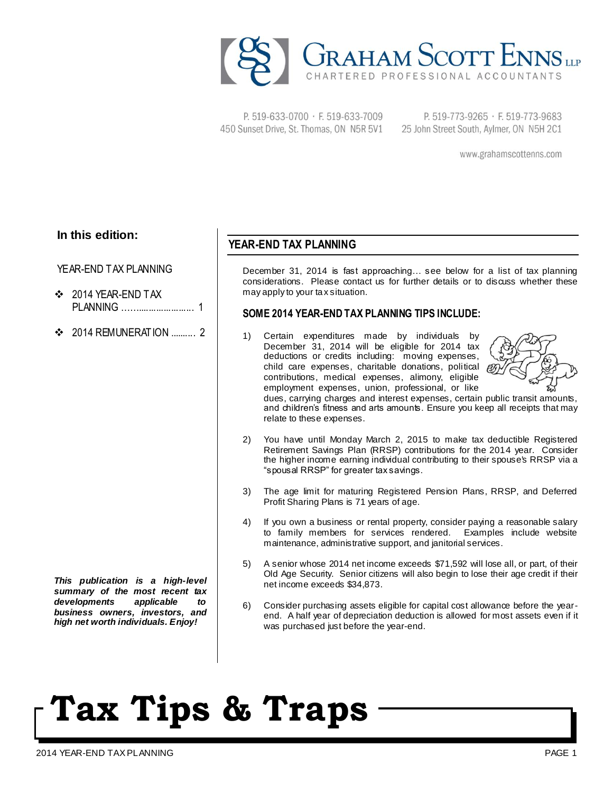

P. 519-633-0700 · F. 519-633-7009 450 Sunset Drive, St. Thomas, ON N5R 5V1

P. 519-773-9265 · F. 519-773-9683 25 John Street South, Aylmer, ON N5H 2C1

www.grahamscottenns.com

### **In this edition:**

#### YEAR-END TAX PLANNING

- ❖ 2014 YEAR-FND TAX PLANNING ……...................... 1
- $\div$  2014 REMUNERATION 2

*This publication is a high-level summary of the most recent tax developments applicable to business owners, investors, and high net worth individuals. Enjoy!*

### **YEAR-END TAX PLANNING**

December 31, 2014 is fast approaching… see below for a list of tax planning considerations. Please contact us for further details or to discuss whether these may apply to your tax situation.

### **SOME 2014 YEAR-END TAX PLANNING TIPS INCLUDE:**

Certain expenditures made by individuals by December 31, 2014 will be eligible for 2014 tax deductions or credits including: moving expenses, child care expenses, charitable donations, political contributions, medical expenses, alimony, eligible employment expenses, union, professional, or like



dues, carrying charges and interest expenses, certain public transit amounts, and children's fitness and arts amounts. Ensure you keep all receipts that may relate to these expenses.

- 2) You have until Monday March 2, 2015 to make tax deductible Registered Retirement Savings Plan (RRSP) contributions for the 2014 year. Consider the higher income earning individual contributing to their spouse's RRSP via a "spousal RRSP" for greater tax savings.
- 3) The age limit for maturing Registered Pension Plans, RRSP, and Deferred Profit Sharing Plans is 71 years of age.
- 4) If you own a business or rental property, consider paying a reasonable salary to family members for services rendered. Examples include website maintenance, administrative support, and janitorial services.
- 5) A senior whose 2014 net income exceeds \$71,592 will lose all, or part, of their Old Age Security. Senior citizens will also begin to lose their age credit if their net income exceeds \$34,873.
- 6) Consider purchasing assets eligible for capital cost allowance before the yearend. A half year of depreciation deduction is allowed for most assets even if it was purchased just before the year-end.

# **Tax Tips & Traps**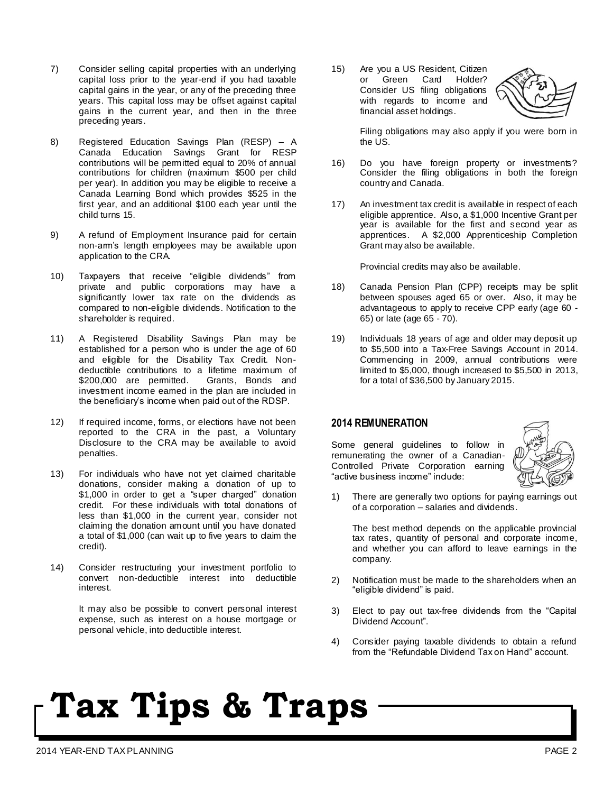- 7) Consider selling capital properties with an underlying capital loss prior to the year-end if you had taxable capital gains in the year, or any of the preceding three years. This capital loss may be offset against capital gains in the current year, and then in the three preceding years.
- 8) Registered Education Savings Plan (RESP) A Canada Education Savings Grant for RESP contributions will be permitted equal to 20% of annual contributions for children (maximum \$500 per child per year). In addition you may be eligible to receive a Canada Learning Bond which provides \$525 in the first year, and an additional \$100 each year until the child turns 15.
- 9) A refund of Employment Insurance paid for certain non-arm's length employees may be available upon application to the CRA.
- 10) Taxpayers that receive "eligible dividends" from private and public corporations may have a significantly lower tax rate on the dividends as compared to non-eligible dividends. Notification to the shareholder is required.
- 11) A Registered Disability Savings Plan may be established for a person who is under the age of 60 and eligible for the Disability Tax Credit. Nondeductible contributions to a lifetime maximum of \$200,000 are permitted. Grants, Bonds and  $$200,000$  are permitted. investment income earned in the plan are included in the beneficiary's income when paid out of the RDSP.
- 12) If required income, forms, or elections have not been reported to the CRA in the past, a Voluntary Disclosure to the CRA may be available to avoid penalties.
- 13) For individuals who have not yet claimed charitable donations, consider making a donation of up to \$1,000 in order to get a "super charged" donation credit. For these individuals with total donations of less than \$1,000 in the current year, consider not claiming the donation amount until you have donated a total of \$1,000 (can wait up to five years to claim the credit).
- 14) Consider restructuring your investment portfolio to convert non-deductible interest into deductible interest.

It may also be possible to convert personal interest expense, such as interest on a house mortgage or personal vehicle, into deductible interest.

15) Are you a US Resident, Citizen or Green Card Holder? Consider US filing obligations with regards to income and financial asset holdings.



Filing obligations may also apply if you were born in the US.

- 16) Do you have foreign property or investments? Consider the filing obligations in both the foreign country and Canada.
- 17) An investment tax credit is available in respect of each eligible apprentice. Also, a \$1,000 Incentive Grant per year is available for the first and second year as apprentices. A \$2,000 Apprenticeship Completion Grant may also be available.

Provincial credits may also be available.

- 18) Canada Pension Plan (CPP) receipts may be split between spouses aged 65 or over. Also, it may be advantageous to apply to receive CPP early (age 60 - 65) or late (age 65 - 70).
- 19) Individuals 18 years of age and older may deposit up to \$5,500 into a Tax-Free Savings Account in 2014. Commencing in 2009, annual contributions were limited to \$5,000, though increased to \$5,500 in 2013, for a total of \$36,500 by January 2015.

### **2014 REMUNERATION**

Some general guidelines to follow in remunerating the owner of a Canadian-Controlled Private Corporation earning "active business income" include:



1) There are generally two options for paying earnings out of a corporation – salaries and dividends.

The best method depends on the applicable provincial tax rates, quantity of personal and corporate income, and whether you can afford to leave earnings in the company.

- 2) Notification must be made to the shareholders when an "eligible dividend" is paid.
- 3) Elect to pay out tax-free dividends from the "Capital Dividend Account".
- 4) Consider paying taxable dividends to obtain a refund from the "Refundable Dividend Tax on Hand" account.

### **Tax Tips & Traps**